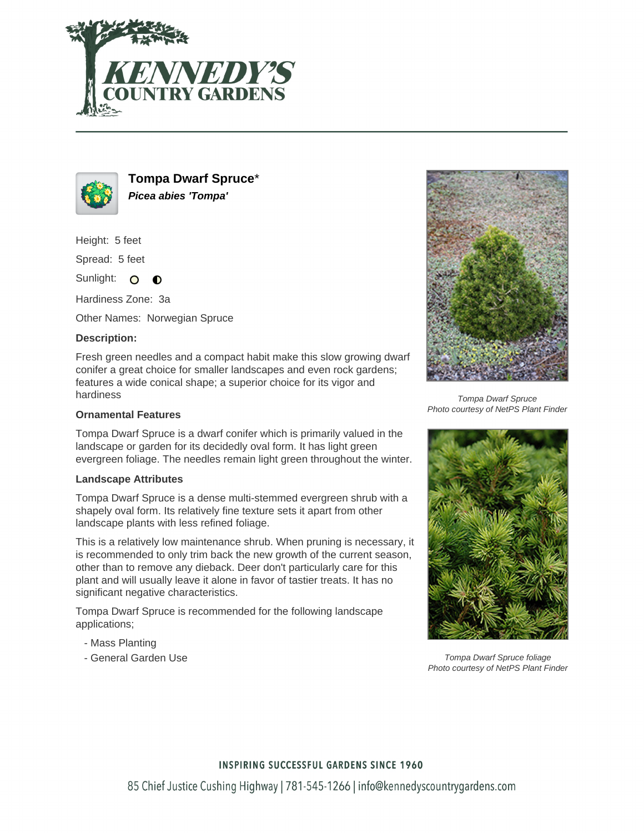



**Tompa Dwarf Spruce**\* **Picea abies 'Tompa'**

Height: 5 feet

Spread: 5 feet

Sunlight: O  $\bullet$ 

Hardiness Zone: 3a

Other Names: Norwegian Spruce

## **Description:**

Fresh green needles and a compact habit make this slow growing dwarf conifer a great choice for smaller landscapes and even rock gardens; features a wide conical shape; a superior choice for its vigor and hardiness

### **Ornamental Features**

Tompa Dwarf Spruce is a dwarf conifer which is primarily valued in the landscape or garden for its decidedly oval form. It has light green evergreen foliage. The needles remain light green throughout the winter.

### **Landscape Attributes**

Tompa Dwarf Spruce is a dense multi-stemmed evergreen shrub with a shapely oval form. Its relatively fine texture sets it apart from other landscape plants with less refined foliage.

This is a relatively low maintenance shrub. When pruning is necessary, it is recommended to only trim back the new growth of the current season, other than to remove any dieback. Deer don't particularly care for this plant and will usually leave it alone in favor of tastier treats. It has no significant negative characteristics.

Tompa Dwarf Spruce is recommended for the following landscape applications;

- Mass Planting
- General Garden Use



Tompa Dwarf Spruce Photo courtesy of NetPS Plant Finder



Tompa Dwarf Spruce foliage Photo courtesy of NetPS Plant Finder

### **INSPIRING SUCCESSFUL GARDENS SINCE 1960**

85 Chief Justice Cushing Highway | 781-545-1266 | info@kennedyscountrygardens.com